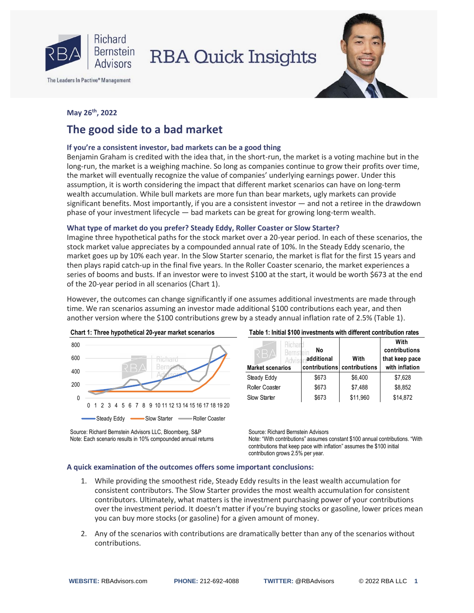

The Leaders In Pactive® Management



### **May 26 th, 2022**

# **The good side to a bad market**

#### **If you're a consistent investor, bad markets can be a good thing**

Benjamin Graham is credited with the idea that, in the short-run, the market is a voting machine but in the long-run, the market is a weighing machine. So long as companies continue to grow their profits over time, the market will eventually recognize the value of companies' underlying earnings power. Under this assumption, it is worth considering the impact that different market scenarios can have on long-term wealth accumulation. While bull markets are more fun than bear markets, ugly markets can provide significant benefits. Most importantly, if you are a consistent investor — and not a retiree in the drawdown phase of your investment lifecycle — bad markets can be great for growing long-term wealth.

#### **What type of market do you prefer? Steady Eddy, Roller Coaster or Slow Starter?**

Imagine three hypothetical paths for the stock market over a 20-year period. In each of these scenarios, the stock market value appreciates by a compounded annual rate of 10%. In the Steady Eddy scenario, the market goes up by 10% each year. In the Slow Starter scenario, the market is flat for the first 15 years and then plays rapid catch-up in the final five years. In the Roller Coaster scenario, the market experiences a series of booms and busts. If an investor were to invest \$100 at the start, it would be worth \$673 at the end of the 20-year period in all scenarios (Chart 1).

However, the outcomes can change significantly if one assumes additional investments are made through time. We ran scenarios assuming an investor made additional \$100 contributions each year, and then another version where the \$100 contributions grew by a steady annual inflation rate of 2.5% (Table 1).



Source: Richard Bernstein Advisors LLC, Bloomberg, S&P Note: Each scenario results in 10% compounded annual returns

| Table 1: Initial \$100 investments with different contribution rates |  |
|----------------------------------------------------------------------|--|
|----------------------------------------------------------------------|--|

| Richart<br>Bernste<br>Advis<br><b>Market scenarios</b> | No<br>additional<br>contributions | With<br>contributions | With<br>contributions<br>that keep pace<br>with inflation |
|--------------------------------------------------------|-----------------------------------|-----------------------|-----------------------------------------------------------|
| Steady Eddy                                            | \$673                             | \$6,400               | \$7,628                                                   |
| Roller Coaster                                         | \$673                             | \$7,488               | \$8,852                                                   |
| Slow Starter                                           | \$673                             | \$11,960              | \$14,872                                                  |

Source: Richard Bernstein Advisors Note: "With contributions" assumes constant \$100 annual contributions. "With contributions that keep pace with inflation" assumes the \$100 initial contribution grows 2.5% per year.

#### **A quick examination of the outcomes offers some important conclusions:**

- 1. While providing the smoothest ride, Steady Eddy results in the least wealth accumulation for consistent contributors. The Slow Starter provides the most wealth accumulation for consistent contributors. Ultimately, what matters is the investment purchasing power of your contributions over the investment period. It doesn't matter if you're buying stocks or gasoline, lower prices mean you can buy more stocks (or gasoline) for a given amount of money.
- 2. Any of the scenarios with contributions are dramatically better than any of the scenarios without contributions.